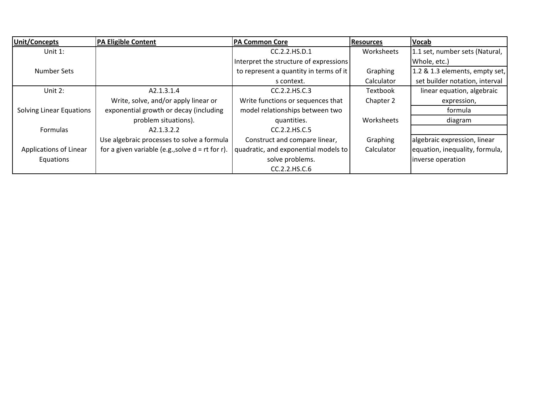| Unit/Concepts                   | <b>PA Eligible Content</b>                         | <b>PA Common Core</b>                  | <b>Resources</b> | <b>Vocab</b>                   |
|---------------------------------|----------------------------------------------------|----------------------------------------|------------------|--------------------------------|
| Unit $1$ :                      |                                                    | CC.2.2.HS.D.1                          | Worksheets       | 1.1 set, number sets (Natural, |
|                                 |                                                    | Interpret the structure of expressions |                  | Whole, etc.)                   |
| Number Sets                     |                                                    | to represent a quantity in terms of it | Graphing         | 1.2 & 1.3 elements, empty set, |
|                                 |                                                    | s context.                             | Calculator       | set builder notation, interval |
| Unit 2:                         | A2.1.3.1.4                                         | CC.2.2.HS.C.3                          | Textbook         | linear equation, algebraic     |
|                                 | Write, solve, and/or apply linear or               | Write functions or sequences that      | Chapter 2        | expression,                    |
| <b>Solving Linear Equations</b> | exponential growth or decay (including             | model relationships between two        |                  | formula                        |
|                                 | problem situations).                               | quantities.                            | Worksheets       | diagram                        |
| Formulas                        | A2.1.3.2.2                                         | CC.2.2.HS.C.5                          |                  |                                |
|                                 | Use algebraic processes to solve a formula         | Construct and compare linear,          | Graphing         | algebraic expression, linear   |
| Applications of Linear          | for a given variable (e.g., solve $d = rt$ for r). | quadratic, and exponential models to   | Calculator       | equation, inequality, formula, |
| Equations                       |                                                    | solve problems.                        |                  | inverse operation              |
|                                 |                                                    | CC.2.2.HS.C.6                          |                  |                                |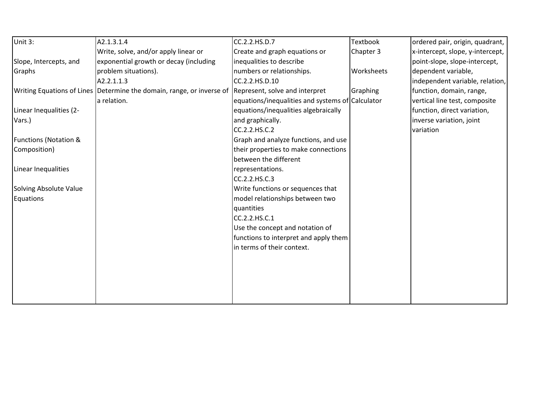| Unit 3:                          | A2.1.3.1.4                                                                                           | CC.2.2.HS.D.7                                    | <b>Textbook</b> | ordered pair, origin, quadrant,  |
|----------------------------------|------------------------------------------------------------------------------------------------------|--------------------------------------------------|-----------------|----------------------------------|
|                                  | Write, solve, and/or apply linear or                                                                 | Create and graph equations or                    | Chapter 3       | x-intercept, slope, y-intercept, |
| Slope, Intercepts, and           | exponential growth or decay (including                                                               | inequalities to describe                         |                 | point-slope, slope-intercept,    |
| Graphs                           | problem situations).                                                                                 | numbers or relationships.                        | Worksheets      | dependent variable,              |
|                                  | A2.2.1.1.3                                                                                           | CC.2.2.HS.D.10                                   |                 | independent variable, relation,  |
|                                  | Writing Equations of Lines Determine the domain, range, or inverse of Represent, solve and interpret |                                                  | Graphing        | function, domain, range,         |
|                                  | a relation.                                                                                          | equations/inequalities and systems of Calculator |                 | vertical line test, composite    |
| Linear Inequalities (2-          |                                                                                                      | equations/inequalities algebraically             |                 | function, direct variation,      |
| Vars.)                           |                                                                                                      | and graphically.                                 |                 | inverse variation, joint         |
|                                  |                                                                                                      | CC.2.2.HS.C.2                                    |                 | variation                        |
| <b>Functions (Notation &amp;</b> |                                                                                                      | Graph and analyze functions, and use             |                 |                                  |
| Composition)                     |                                                                                                      | their properties to make connections             |                 |                                  |
|                                  |                                                                                                      | between the different                            |                 |                                  |
| Linear Inequalities              |                                                                                                      | representations.                                 |                 |                                  |
|                                  |                                                                                                      | CC.2.2.HS.C.3                                    |                 |                                  |
| <b>Solving Absolute Value</b>    |                                                                                                      | Write functions or sequences that                |                 |                                  |
| Equations                        |                                                                                                      | model relationships between two                  |                 |                                  |
|                                  |                                                                                                      | quantities                                       |                 |                                  |
|                                  |                                                                                                      | CC.2.2.HS.C.1                                    |                 |                                  |
|                                  |                                                                                                      | Use the concept and notation of                  |                 |                                  |
|                                  |                                                                                                      | functions to interpret and apply them            |                 |                                  |
|                                  |                                                                                                      | in terms of their context.                       |                 |                                  |
|                                  |                                                                                                      |                                                  |                 |                                  |
|                                  |                                                                                                      |                                                  |                 |                                  |
|                                  |                                                                                                      |                                                  |                 |                                  |
|                                  |                                                                                                      |                                                  |                 |                                  |
|                                  |                                                                                                      |                                                  |                 |                                  |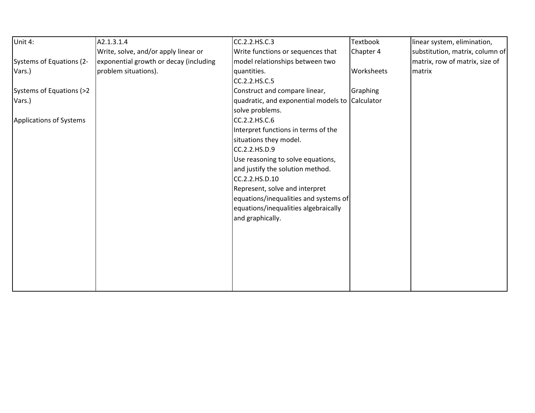| Unit 4:                  | A2.1.3.1.4                             | CC.2.2.HS.C.3                                   | Textbook   | linear system, elimination,     |
|--------------------------|----------------------------------------|-------------------------------------------------|------------|---------------------------------|
|                          | Write, solve, and/or apply linear or   | Write functions or sequences that               | Chapter 4  | substitution, matrix, column of |
| Systems of Equations (2- | exponential growth or decay (including | model relationships between two                 |            | matrix, row of matrix, size of  |
| Vars.)                   | problem situations).                   | quantities.                                     | Worksheets | matrix                          |
|                          |                                        | CC.2.2.HS.C.5                                   |            |                                 |
| Systems of Equations (>2 |                                        | Construct and compare linear,                   | Graphing   |                                 |
| Vars.)                   |                                        | quadratic, and exponential models to Calculator |            |                                 |
|                          |                                        | solve problems.                                 |            |                                 |
| Applications of Systems  |                                        | CC.2.2.HS.C.6                                   |            |                                 |
|                          |                                        | Interpret functions in terms of the             |            |                                 |
|                          |                                        | situations they model.                          |            |                                 |
|                          |                                        | CC.2.2.HS.D.9                                   |            |                                 |
|                          |                                        | Use reasoning to solve equations,               |            |                                 |
|                          |                                        | and justify the solution method.                |            |                                 |
|                          |                                        | CC.2.2.HS.D.10                                  |            |                                 |
|                          |                                        | Represent, solve and interpret                  |            |                                 |
|                          |                                        | equations/inequalities and systems of           |            |                                 |
|                          |                                        | equations/inequalities algebraically            |            |                                 |
|                          |                                        | and graphically.                                |            |                                 |
|                          |                                        |                                                 |            |                                 |
|                          |                                        |                                                 |            |                                 |
|                          |                                        |                                                 |            |                                 |
|                          |                                        |                                                 |            |                                 |
|                          |                                        |                                                 |            |                                 |
|                          |                                        |                                                 |            |                                 |
|                          |                                        |                                                 |            |                                 |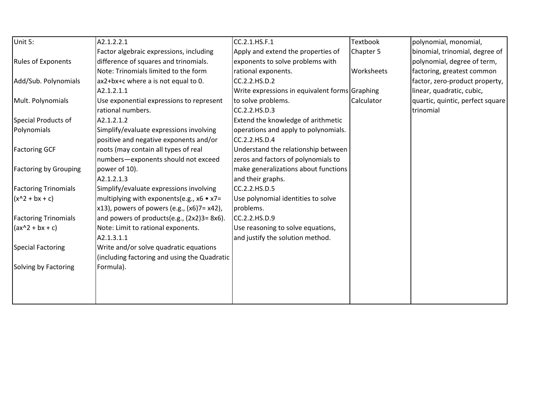| Unit 5:                      | A2.1.2.2.1                                   | CC.2.1.HS.F.1                                  | <b>Textbook</b>   | polynomial, monomial,            |
|------------------------------|----------------------------------------------|------------------------------------------------|-------------------|----------------------------------|
|                              | Factor algebraic expressions, including      | Apply and extend the properties of             | Chapter 5         | binomial, trinomial, degree of   |
| <b>Rules of Exponents</b>    | difference of squares and trinomials.        | exponents to solve problems with               |                   | polynomial, degree of term,      |
|                              | Note: Trinomials limited to the form         | rational exponents.                            | <b>Worksheets</b> | factoring, greatest common       |
| Add/Sub. Polynomials         | ax2+bx+c where a is not equal to 0.          | CC.2.2.HS.D.2                                  |                   | factor, zero-product property,   |
|                              | A2.1.2.1.1                                   | Write expressions in equivalent forms Graphing |                   | linear, quadratic, cubic,        |
| Mult. Polynomials            | Use exponential expressions to represent     | to solve problems.                             | Calculator        | quartic, quintic, perfect square |
|                              | rational numbers.                            | CC.2.2.HS.D.3                                  |                   | trinomial                        |
| Special Products of          | A2.1.2.1.2                                   | Extend the knowledge of arithmetic             |                   |                                  |
| Polynomials                  | Simplify/evaluate expressions involving      | operations and apply to polynomials.           |                   |                                  |
|                              | positive and negative exponents and/or       | CC.2.2.HS.D.4                                  |                   |                                  |
| <b>Factoring GCF</b>         | roots (may contain all types of real         | Understand the relationship between            |                   |                                  |
|                              | numbers-exponents should not exceed          | zeros and factors of polynomials to            |                   |                                  |
| <b>Factoring by Grouping</b> | power of 10).                                | make generalizations about functions           |                   |                                  |
|                              | A2.1.2.1.3                                   | and their graphs.                              |                   |                                  |
| <b>Factoring Trinomials</b>  | Simplify/evaluate expressions involving      | CC.2.2.HS.D.5                                  |                   |                                  |
| $(x^2 + bx + c)$             | multiplying with exponents(e.g., x6 • x7=    | Use polynomial identities to solve             |                   |                                  |
|                              | x13), powers of powers (e.g., (x6)7= x42),   | problems.                                      |                   |                                  |
| <b>Factoring Trinomials</b>  | and powers of products(e.g., (2x2)3=8x6).    | CC.2.2.HS.D.9                                  |                   |                                  |
| $(ax^2 + bx + c)$            | Note: Limit to rational exponents.           | Use reasoning to solve equations,              |                   |                                  |
|                              | A2.1.3.1.1                                   | and justify the solution method.               |                   |                                  |
| Special Factoring            | Write and/or solve quadratic equations       |                                                |                   |                                  |
|                              | (including factoring and using the Quadratic |                                                |                   |                                  |
| Solving by Factoring         | Formula).                                    |                                                |                   |                                  |
|                              |                                              |                                                |                   |                                  |
|                              |                                              |                                                |                   |                                  |
|                              |                                              |                                                |                   |                                  |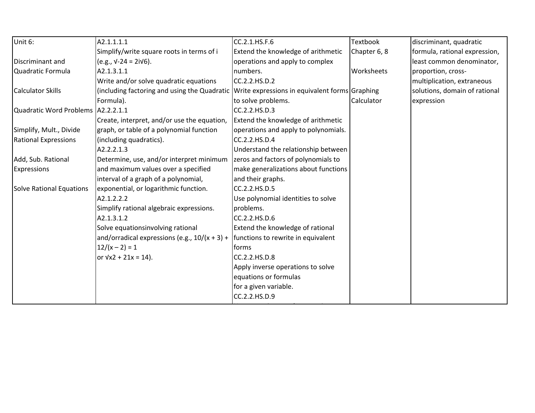| Unit 6:                            | A2.1.1.1.1                                                                                  | CC.2.1.HS.F.6                        | <b>Textbook</b> | discriminant, quadratic       |
|------------------------------------|---------------------------------------------------------------------------------------------|--------------------------------------|-----------------|-------------------------------|
|                                    | Simplify/write square roots in terms of i                                                   | Extend the knowledge of arithmetic   | Chapter 6, 8    | formula, rational expression, |
| Discriminant and                   | $(e.g., v-24 = 2iv6).$                                                                      | operations and apply to complex      |                 | least common denominator,     |
| Quadratic Formula                  | A2.1.3.1.1                                                                                  | numbers.                             | Worksheets      | proportion, cross-            |
|                                    | Write and/or solve quadratic equations                                                      | CC.2.2.HS.D.2                        |                 | multiplication, extraneous    |
| Calculator Skills                  | (including factoring and using the Quadratic Write expressions in equivalent forms Graphing |                                      |                 | solutions, domain of rational |
|                                    | Formula).                                                                                   | to solve problems.                   | Calculator      | expression                    |
| Quadratic Word Problems A2.2.2.1.1 |                                                                                             | CC.2.2.HS.D.3                        |                 |                               |
|                                    | Create, interpret, and/or use the equation,                                                 | Extend the knowledge of arithmetic   |                 |                               |
| Simplify, Mult., Divide            | graph, or table of a polynomial function                                                    | operations and apply to polynomials. |                 |                               |
| <b>Rational Expressions</b>        | (including quadratics).                                                                     | CC.2.2.HS.D.4                        |                 |                               |
|                                    | A2.2.2.1.3                                                                                  | Understand the relationship between  |                 |                               |
| Add, Sub. Rational                 | Determine, use, and/or interpret minimum                                                    | zeros and factors of polynomials to  |                 |                               |
| <b>Expressions</b>                 | and maximum values over a specified                                                         | make generalizations about functions |                 |                               |
|                                    | interval of a graph of a polynomial,                                                        | and their graphs.                    |                 |                               |
| Solve Rational Equations           | exponential, or logarithmic function.                                                       | CC.2.2.HS.D.5                        |                 |                               |
|                                    | A2.1.2.2.2                                                                                  | Use polynomial identities to solve   |                 |                               |
|                                    | Simplify rational algebraic expressions.                                                    | problems.                            |                 |                               |
|                                    | A2.1.3.1.2                                                                                  | CC.2.2.HS.D.6                        |                 |                               |
|                                    | Solve equationsinvolving rational                                                           | Extend the knowledge of rational     |                 |                               |
|                                    | and/orradical expressions (e.g., $10/(x + 3) +$                                             | functions to rewrite in equivalent   |                 |                               |
|                                    | $12/(x-2) = 1$                                                                              | lforms                               |                 |                               |
|                                    | or $\sqrt{x^2 + 21x} = 14$ .                                                                | CC.2.2.HS.D.8                        |                 |                               |
|                                    |                                                                                             | Apply inverse operations to solve    |                 |                               |
|                                    |                                                                                             | equations or formulas                |                 |                               |
|                                    |                                                                                             | for a given variable.                |                 |                               |
|                                    |                                                                                             | CC.2.2.HS.D.9                        |                 |                               |
|                                    |                                                                                             |                                      |                 |                               |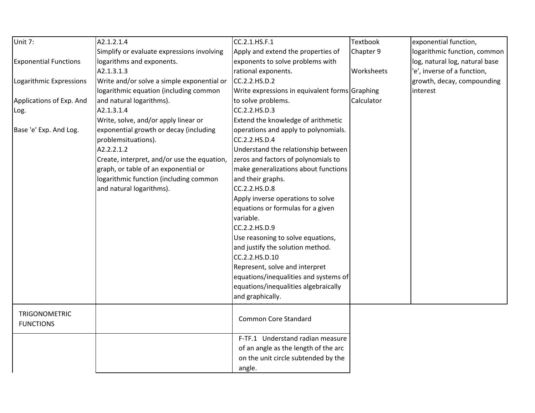| Unit 7:                      | A2.1.2.1.4                                  | CC.2.1.HS.F.1                                  | Textbook   | exponential function,          |
|------------------------------|---------------------------------------------|------------------------------------------------|------------|--------------------------------|
|                              | Simplify or evaluate expressions involving  | Apply and extend the properties of             | Chapter 9  | logarithmic function, common   |
| <b>Exponential Functions</b> | logarithms and exponents.                   | exponents to solve problems with               |            | log, natural log, natural base |
|                              | A2.1.3.1.3                                  | rational exponents.                            | Worksheets | 'e', inverse of a function,    |
| Logarithmic Expressions      | Write and/or solve a simple exponential or  | CC.2.2.HS.D.2                                  |            | growth, decay, compounding     |
|                              | logarithmic equation (including common      | Write expressions in equivalent forms Graphing |            | interest                       |
| Applications of Exp. And     | and natural logarithms).                    | to solve problems.                             | Calculator |                                |
| Log.                         | A2.1.3.1.4                                  | CC.2.2.HS.D.3                                  |            |                                |
|                              | Write, solve, and/or apply linear or        | Extend the knowledge of arithmetic             |            |                                |
| Base 'e' Exp. And Log.       | exponential growth or decay (including      | operations and apply to polynomials.           |            |                                |
|                              | problemsituations).                         | CC.2.2.HS.D.4                                  |            |                                |
|                              | A2.2.2.1.2                                  | Understand the relationship between            |            |                                |
|                              | Create, interpret, and/or use the equation, | zeros and factors of polynomials to            |            |                                |
|                              | graph, or table of an exponential or        | make generalizations about functions           |            |                                |
|                              | logarithmic function (including common      | and their graphs.                              |            |                                |
|                              | and natural logarithms).                    | CC.2.2.HS.D.8                                  |            |                                |
|                              |                                             | Apply inverse operations to solve              |            |                                |
|                              |                                             | equations or formulas for a given              |            |                                |
|                              |                                             | variable.                                      |            |                                |
|                              |                                             | CC.2.2.HS.D.9                                  |            |                                |
|                              |                                             | Use reasoning to solve equations,              |            |                                |
|                              |                                             | and justify the solution method.               |            |                                |
|                              |                                             | CC.2.2.HS.D.10                                 |            |                                |
|                              |                                             | Represent, solve and interpret                 |            |                                |
|                              |                                             | equations/inequalities and systems of          |            |                                |
|                              |                                             | equations/inequalities algebraically           |            |                                |
|                              |                                             | and graphically.                               |            |                                |
| <b>TRIGONOMETRIC</b>         |                                             |                                                |            |                                |
| <b>FUNCTIONS</b>             |                                             | <b>Common Core Standard</b>                    |            |                                |
|                              |                                             | F-TF.1 Understand radian measure               |            |                                |
|                              |                                             | of an angle as the length of the arc           |            |                                |
|                              |                                             | on the unit circle subtended by the            |            |                                |
|                              |                                             | angle.                                         |            |                                |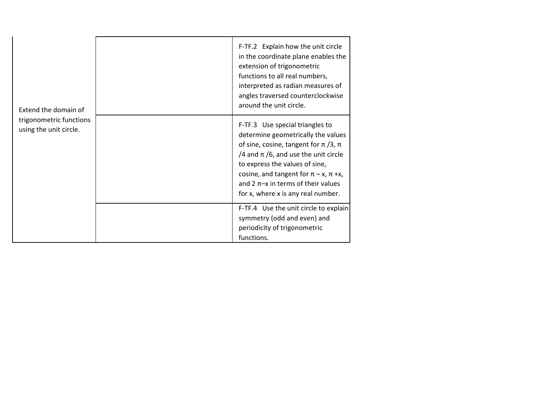| Extend the domain of<br>trigonometric functions<br>using the unit circle. | F-TF.2 Explain how the unit circle<br>in the coordinate plane enables the<br>extension of trigonometric<br>functions to all real numbers,<br>interpreted as radian measures of<br>angles traversed counterclockwise<br>around the unit circle.                                                                                       |
|---------------------------------------------------------------------------|--------------------------------------------------------------------------------------------------------------------------------------------------------------------------------------------------------------------------------------------------------------------------------------------------------------------------------------|
|                                                                           | F-TF.3 Use special triangles to<br>determine geometrically the values<br>of sine, cosine, tangent for $\pi$ /3, $\pi$<br>/4 and $\pi$ /6, and use the unit circle<br>to express the values of sine,<br>cosine, and tangent for $\pi$ – x, $\pi$ +x,<br>and 2 $\pi$ -x in terms of their values<br>for x, where x is any real number. |
|                                                                           | F-TF.4 Use the unit circle to explain<br>symmetry (odd and even) and<br>periodicity of trigonometric<br>functions.                                                                                                                                                                                                                   |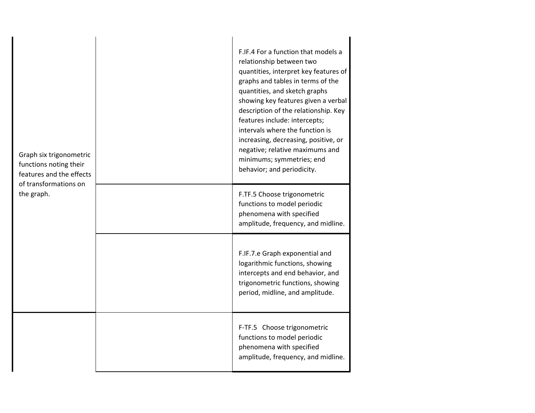| Graph six trigonometric<br>functions noting their<br>features and the effects<br>of transformations on<br>the graph. | F.IF.4 For a function that models a<br>relationship between two<br>quantities, interpret key features of<br>graphs and tables in terms of the<br>quantities, and sketch graphs<br>showing key features given a verbal<br>description of the relationship. Key<br>features include: intercepts;<br>intervals where the function is<br>increasing, decreasing, positive, or<br>negative; relative maximums and<br>minimums; symmetries; end<br>behavior; and periodicity. |
|----------------------------------------------------------------------------------------------------------------------|-------------------------------------------------------------------------------------------------------------------------------------------------------------------------------------------------------------------------------------------------------------------------------------------------------------------------------------------------------------------------------------------------------------------------------------------------------------------------|
|                                                                                                                      | F.TF.5 Choose trigonometric<br>functions to model periodic<br>phenomena with specified<br>amplitude, frequency, and midline.                                                                                                                                                                                                                                                                                                                                            |
|                                                                                                                      | F.IF.7.e Graph exponential and<br>logarithmic functions, showing<br>intercepts and end behavior, and<br>trigonometric functions, showing<br>period, midline, and amplitude.                                                                                                                                                                                                                                                                                             |
|                                                                                                                      | F-TF.5 Choose trigonometric<br>functions to model periodic<br>phenomena with specified<br>amplitude, frequency, and midline.                                                                                                                                                                                                                                                                                                                                            |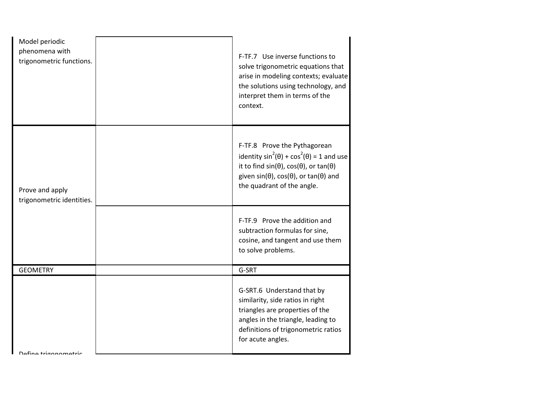| Model periodic<br>phenomena with<br>trigonometric functions. | F-TF.7 Use inverse functions to<br>solve trigonometric equations that<br>arise in modeling contexts; evaluate<br>the solutions using technology, and<br>interpret them in terms of the<br>context.                                                  |
|--------------------------------------------------------------|-----------------------------------------------------------------------------------------------------------------------------------------------------------------------------------------------------------------------------------------------------|
| Prove and apply<br>trigonometric identities.                 | F-TF.8 Prove the Pythagorean<br>identity $sin^2(\theta) + cos^2(\theta) = 1$ and use<br>it to find $sin(\theta)$ , $cos(\theta)$ , or $tan(\theta)$<br>given sin( $\theta$ ), cos( $\theta$ ), or tan( $\theta$ ) and<br>the quadrant of the angle. |
|                                                              | F-TF.9 Prove the addition and<br>subtraction formulas for sine,<br>cosine, and tangent and use them<br>to solve problems.                                                                                                                           |
| <b>GEOMETRY</b>                                              | G-SRT                                                                                                                                                                                                                                               |
| Dafina trigonomatric                                         | G-SRT.6 Understand that by<br>similarity, side ratios in right<br>triangles are properties of the<br>angles in the triangle, leading to<br>definitions of trigonometric ratios<br>for acute angles.                                                 |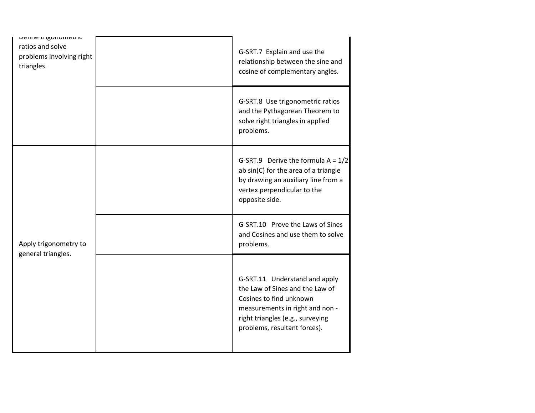| Denne trigonometric                          |                                                                                                                                                                                                    |
|----------------------------------------------|----------------------------------------------------------------------------------------------------------------------------------------------------------------------------------------------------|
| ratios and solve<br>problems involving right | G-SRT.7 Explain and use the                                                                                                                                                                        |
| triangles.                                   | relationship between the sine and                                                                                                                                                                  |
|                                              | cosine of complementary angles.                                                                                                                                                                    |
|                                              |                                                                                                                                                                                                    |
|                                              | G-SRT.8 Use trigonometric ratios<br>and the Pythagorean Theorem to<br>solve right triangles in applied<br>problems.                                                                                |
|                                              | G-SRT.9 Derive the formula $A = 1/2$<br>ab sin(C) for the area of a triangle<br>by drawing an auxiliary line from a<br>vertex perpendicular to the<br>opposite side.                               |
| Apply trigonometry to                        | G-SRT.10 Prove the Laws of Sines<br>and Cosines and use them to solve<br>problems.                                                                                                                 |
| general triangles.                           | G-SRT.11 Understand and apply<br>the Law of Sines and the Law of<br>Cosines to find unknown<br>measurements in right and non -<br>right triangles (e.g., surveying<br>problems, resultant forces). |